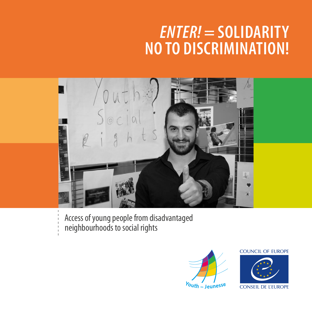## *ENTER!* **= SOLIDARITY NO TO DISCRIMINATION!**



Access of young people from disadvantaged neighbourhoods to social rights



## **COUNCIL OF EUROPE**



**CONSEIL DE L'EUROPE**